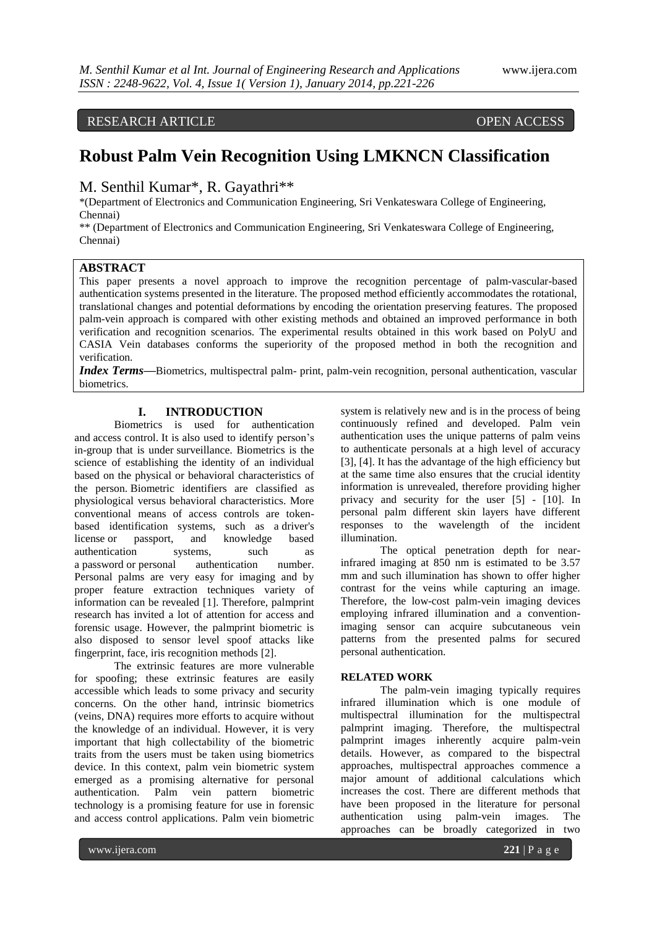# RESEARCH ARTICLE OPEN ACCESS

# **Robust Palm Vein Recognition Using LMKNCN Classification**

M. Senthil Kumar\*, R. Gayathri\*\*

\*(Department of Electronics and Communication Engineering, Sri Venkateswara College of Engineering, Chennai)

\*\* (Department of Electronics and Communication Engineering, Sri Venkateswara College of Engineering, Chennai)

# **ABSTRACT**

This paper presents a novel approach to improve the recognition percentage of palm-vascular-based authentication systems presented in the literature. The proposed method efficiently accommodates the rotational, translational changes and potential deformations by encoding the orientation preserving features. The proposed palm-vein approach is compared with other existing methods and obtained an improved performance in both verification and recognition scenarios. The experimental results obtained in this work based on PolyU and CASIA Vein databases conforms the superiority of the proposed method in both the recognition and verification.

*Index Terms***—**Biometrics, multispectral palm- print, palm-vein recognition, personal authentication, vascular biometrics.

## **I. INTRODUCTION**

Biometrics is used for authentication and access control. It is also used to identify person"s in-group that is under surveillance. Biometrics is the science of establishing the identity of an individual based on the physical or behavioral characteristics of the person. Biometric identifiers are classified as physiological versus behavioral characteristics. More conventional means of access controls are tokenbased identification systems, such as a driver's license or passport, and knowledge based<br>authentication systems, such as authentication systems, such as a password or personal authentication number. Personal palms are very easy for imaging and by proper feature extraction techniques variety of information can be revealed [1]. Therefore, palmprint research has invited a lot of attention for access and forensic usage. However, the palmprint biometric is also disposed to sensor level spoof attacks like fingerprint, face, iris recognition methods [2].

The extrinsic features are more vulnerable for spoofing; these extrinsic features are easily accessible which leads to some privacy and security concerns. On the other hand, intrinsic biometrics (veins, DNA) requires more efforts to acquire without the knowledge of an individual. However, it is very important that high collectability of the biometric traits from the users must be taken using biometrics device. In this context, palm vein biometric system emerged as a promising alternative for personal authentication. Palm vein pattern biometric technology is a promising feature for use in forensic and access control applications. Palm vein biometric

system is relatively new and is in the process of being continuously refined and developed. Palm vein authentication uses the unique patterns of palm veins to authenticate personals at a high level of accuracy [3], [4]. It has the advantage of the high efficiency but at the same time also ensures that the crucial identity information is unrevealed, therefore providing higher privacy and security for the user [5] - [10]. In personal palm different skin layers have different responses to the wavelength of the incident illumination.

The optical penetration depth for nearinfrared imaging at 850 nm is estimated to be 3.57 mm and such illumination has shown to offer higher contrast for the veins while capturing an image. Therefore, the low-cost palm-vein imaging devices employing infrared illumination and a conventionimaging sensor can acquire subcutaneous vein patterns from the presented palms for secured personal authentication.

#### **RELATED WORK**

The palm-vein imaging typically requires infrared illumination which is one module of multispectral illumination for the multispectral palmprint imaging. Therefore, the multispectral palmprint images inherently acquire palm-vein details. However, as compared to the bispectral approaches, multispectral approaches commence a major amount of additional calculations which increases the cost. There are different methods that have been proposed in the literature for personal authentication using palm-vein images. The approaches can be broadly categorized in two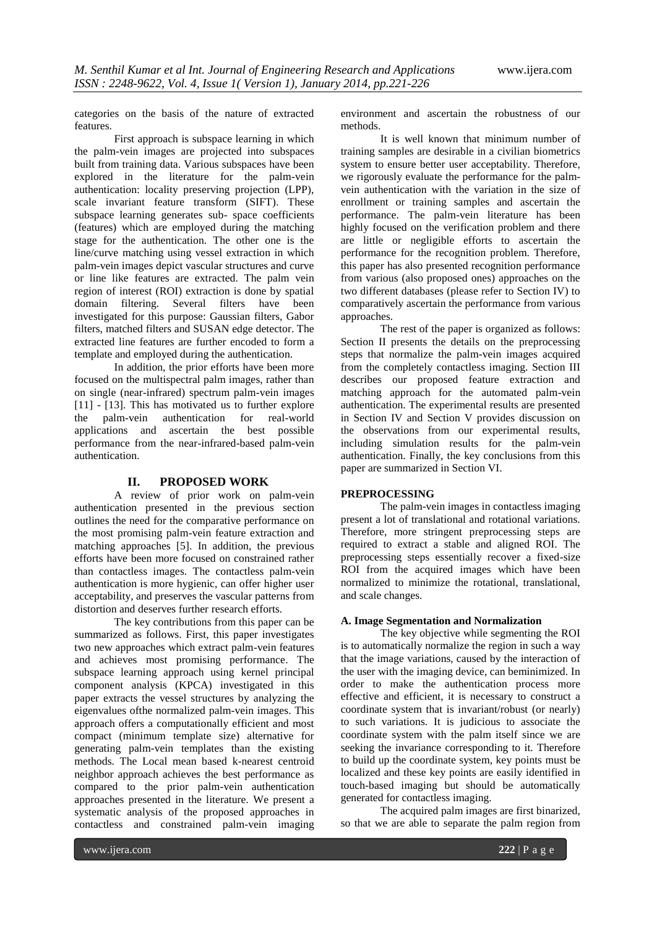categories on the basis of the nature of extracted features.

First approach is subspace learning in which the palm-vein images are projected into subspaces built from training data. Various subspaces have been explored in the literature for the palm-vein authentication: locality preserving projection (LPP), scale invariant feature transform (SIFT). These subspace learning generates sub- space coefficients (features) which are employed during the matching stage for the authentication. The other one is the line/curve matching using vessel extraction in which palm-vein images depict vascular structures and curve or line like features are extracted. The palm vein region of interest (ROI) extraction is done by spatial domain filtering. Several filters have been investigated for this purpose: Gaussian filters, Gabor filters, matched filters and SUSAN edge detector. The extracted line features are further encoded to form a template and employed during the authentication.

In addition, the prior efforts have been more focused on the multispectral palm images, rather than on single (near-infrared) spectrum palm-vein images [11] - [13]. This has motivated us to further explore the palm-vein authentication for real-world applications and ascertain the best possible performance from the near-infrared-based palm-vein authentication.

# **II. PROPOSED WORK**

A review of prior work on palm-vein authentication presented in the previous section outlines the need for the comparative performance on the most promising palm-vein feature extraction and matching approaches [5]. In addition, the previous efforts have been more focused on constrained rather than contactless images. The contactless palm-vein authentication is more hygienic, can offer higher user acceptability, and preserves the vascular patterns from distortion and deserves further research efforts.

The key contributions from this paper can be summarized as follows. First, this paper investigates two new approaches which extract palm-vein features and achieves most promising performance. The subspace learning approach using kernel principal component analysis (KPCA) investigated in this paper extracts the vessel structures by analyzing the eigenvalues ofthe normalized palm-vein images. This approach offers a computationally efficient and most compact (minimum template size) alternative for generating palm-vein templates than the existing methods. The Local mean based k-nearest centroid neighbor approach achieves the best performance as compared to the prior palm-vein authentication approaches presented in the literature. We present a systematic analysis of the proposed approaches in contactless and constrained palm-vein imaging environment and ascertain the robustness of our methods.

It is well known that minimum number of training samples are desirable in a civilian biometrics system to ensure better user acceptability. Therefore, we rigorously evaluate the performance for the palmvein authentication with the variation in the size of enrollment or training samples and ascertain the performance. The palm-vein literature has been highly focused on the verification problem and there are little or negligible efforts to ascertain the performance for the recognition problem. Therefore, this paper has also presented recognition performance from various (also proposed ones) approaches on the two different databases (please refer to Section IV) to comparatively ascertain the performance from various approaches.

The rest of the paper is organized as follows: Section II presents the details on the preprocessing steps that normalize the palm-vein images acquired from the completely contactless imaging. Section III describes our proposed feature extraction and matching approach for the automated palm-vein authentication. The experimental results are presented in Section IV and Section V provides discussion on the observations from our experimental results, including simulation results for the palm-vein authentication. Finally, the key conclusions from this paper are summarized in Section VI.

#### **PREPROCESSING**

The palm-vein images in contactless imaging present a lot of translational and rotational variations. Therefore, more stringent preprocessing steps are required to extract a stable and aligned ROI. The preprocessing steps essentially recover a fixed-size ROI from the acquired images which have been normalized to minimize the rotational, translational, and scale changes.

## **A. Image Segmentation and Normalization**

The key objective while segmenting the ROI is to automatically normalize the region in such a way that the image variations, caused by the interaction of the user with the imaging device, can beminimized. In order to make the authentication process more effective and efficient, it is necessary to construct a coordinate system that is invariant/robust (or nearly) to such variations. It is judicious to associate the coordinate system with the palm itself since we are seeking the invariance corresponding to it. Therefore to build up the coordinate system, key points must be localized and these key points are easily identified in touch-based imaging but should be automatically generated for contactless imaging.

The acquired palm images are first binarized, so that we are able to separate the palm region from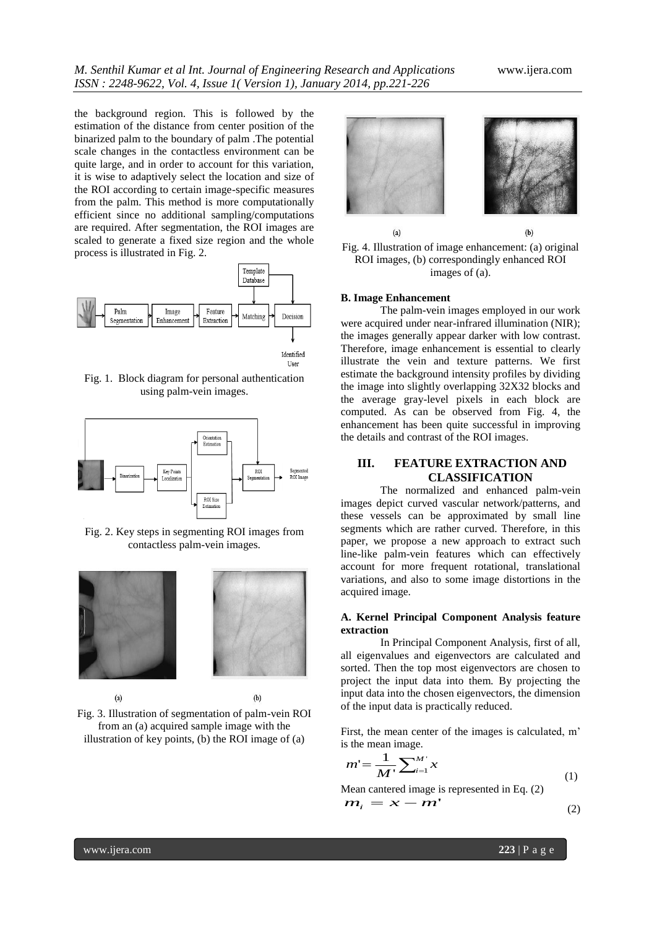Liser

the background region. This is followed by the estimation of the distance from center position of the binarized palm to the boundary of palm .The potential scale changes in the contactless environment can be quite large, and in order to account for this variation, it is wise to adaptively select the location and size of the ROI according to certain image-specific measures from the palm. This method is more computationally efficient since no additional sampling/computations are required. After segmentation, the ROI images are scaled to generate a fixed size region and the whole process is illustrated in Fig. 2.



Fig. 1. Block diagram for personal authentication using palm-vein images.



Fig. 2. Key steps in segmenting ROI images from contactless palm-vein images.



Fig. 3. Illustration of segmentation of palm-vein ROI from an (a) acquired sample image with the illustration of key points, (b) the ROI image of (a)





#### **B. Image Enhancement**

The palm-vein images employed in our work were acquired under near-infrared illumination (NIR); the images generally appear darker with low contrast. Therefore, image enhancement is essential to clearly illustrate the vein and texture patterns. We first estimate the background intensity profiles by dividing the image into slightly overlapping 32X32 blocks and the average gray-level pixels in each block are computed. As can be observed from Fig. 4, the enhancement has been quite successful in improving the details and contrast of the ROI images.

# **III. FEATURE EXTRACTION AND CLASSIFICATION**

The normalized and enhanced palm-vein images depict curved vascular network/patterns, and these vessels can be approximated by small line segments which are rather curved. Therefore, in this paper, we propose a new approach to extract such line-like palm-vein features which can effectively account for more frequent rotational, translational variations, and also to some image distortions in the acquired image.

#### **A. Kernel Principal Component Analysis feature extraction**

In Principal Component Analysis, first of all, all eigenvalues and eigenvectors are calculated and sorted. Then the top most eigenvectors are chosen to project the input data into them. By projecting the input data into the chosen eigenvectors, the dimension of the input data is practically reduced.

First, the mean center of the images is calculated, m' is the mean image.

$$
m' = \frac{1}{M'} \sum_{i=1}^{M'} x
$$
 (1)

Mean cantered image is represented in Eq. (2) *m*  $\boldsymbol{m}_i = \boldsymbol{x} - \boldsymbol{m}$ (2)

$$
(2)
$$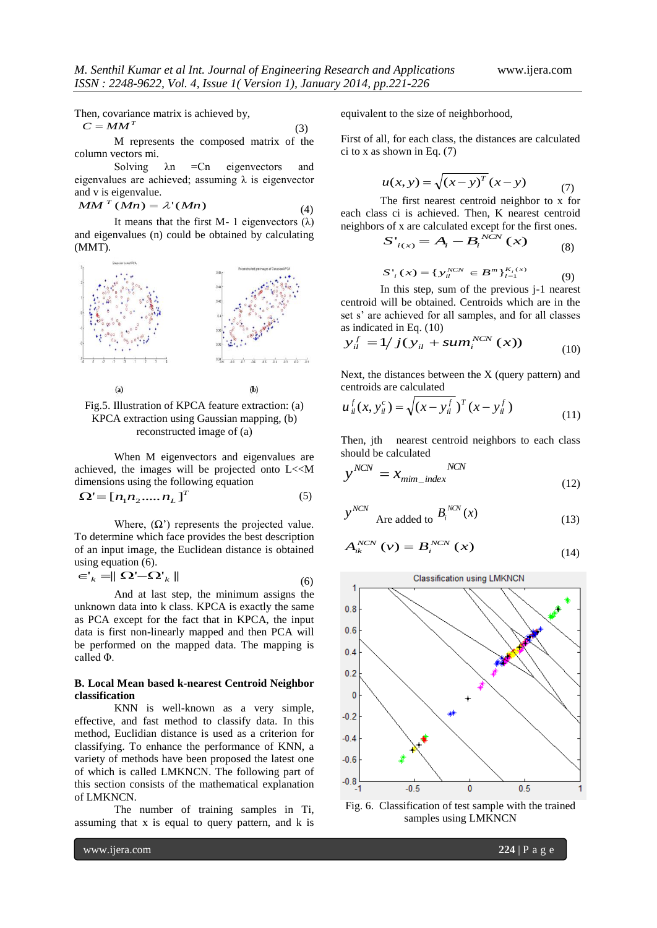Then, covariance matrix is achieved by,

$$
C = MM^T \tag{3}
$$

M represents the composed matrix of the column vectors mi.

Solving  $\lambda$ n = Cn eigenvectors and eigenvalues are achieved; assuming  $\lambda$  is eigenvector and v is eigenvalue.

$$
MMT (Mn) = \lambda'(Mn)
$$
 (4)

It means that the first M- 1 eigenvectors  $(\lambda)$ and eigenvalues (n) could be obtained by calculating (MMT).



# Fig.5. Illustration of KPCA feature extraction: (a) KPCA extraction using Gaussian mapping, (b) reconstructed image of (a)

When M eigenvectors and eigenvalues are achieved, the images will be projected onto L<<M dimensions using the following equation

$$
\Omega = [n_1 n_2 \dots n_L]^T
$$
 (5)

Where,  $(\Omega)$  represents the projected value. To determine which face provides the best description of an input image, the Euclidean distance is obtained using equation (6).

$$
\in_{k}^{1} = \parallel \Omega' - \Omega'_{k} \parallel
$$
\n
$$
(6)
$$

And at last step, the minimum assigns the unknown data into k class. KPCA is exactly the same as PCA except for the fact that in KPCA, the input data is first non-linearly mapped and then PCA will be performed on the mapped data. The mapping is called Φ.

#### **B. Local Mean based k-nearest Centroid Neighbor classification**

KNN is well-known as a very simple, effective, and fast method to classify data. In this method, Euclidian distance is used as a criterion for classifying. To enhance the performance of KNN, a variety of methods have been proposed the latest one of which is called LMKNCN. The following part of this section consists of the mathematical explanation of LMKNCN.

The number of training samples in Ti, assuming that x is equal to query pattern, and k is equivalent to the size of neighborhood,

First of all, for each class, the distances are calculated ci to x as shown in Eq. (7)

$$
u(x, y) = \sqrt{(x - y)^{T}} (x - y)
$$
 (7)

The first nearest centroid neighbor to x for each class ci is achieved. Then, K nearest centroid neighbors of x are calculated except for the first ones.

$$
S'_{i(x)} = A_i - B_i^{NCN}(x)
$$
 (8)

$$
S'_{i}(x) = \{ y_{ii}^{NCN} \in B^{m} \}_{i=1}^{K_{i}(x)}
$$
(9)

In this step, sum of the previous j-1 nearest centroid will be obtained. Centroids which are in the set s' are achieved for all samples, and for all classes as indicated in Eq. (10)

$$
y_{il}^{f} = 1/j(y_{il} + sum_{i}^{NCN} (x))
$$
 (10)

Next, the distances between the  $X$  (query pattern) and centroids are calculated

$$
u_{il}^{f}(x, y_{il}^{c}) = \sqrt{(x - y_{il}^{f})^{T}(x - y_{il}^{f})}
$$
\n(11)

Then, jth nearest centroid neighbors to each class should be calculated

$$
y^{NCN} = x_{\min\_index}^{NCN}
$$
 (12)

$$
y^{NCN}
$$
 Are added to  $B_i^{NCN}(x)$  (13)

$$
A_{ik}^{NCN}\left(v\right) = B_i^{NCN}\left(x\right) \tag{14}
$$



Fig. 6. Classification of test sample with the trained samples using LMKNCN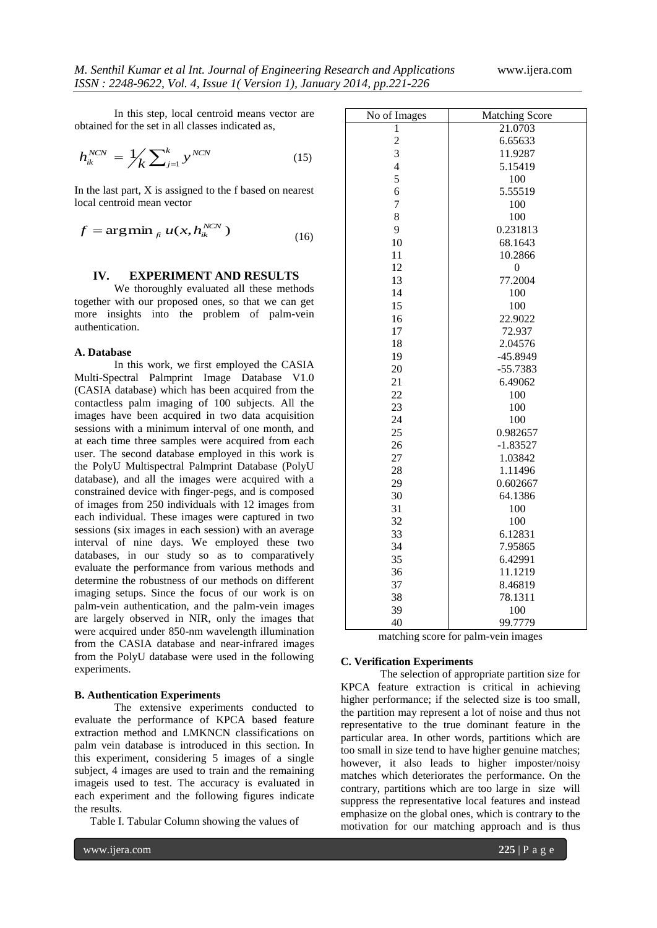In this step, local centroid means vector are obtained for the set in all classes indicated as,

$$
h_{ik}^{NCN} = \frac{1}{K} \sum_{j=1}^{K} y^{NCN}
$$
 (15)

In the last part, X is assigned to the f based on nearest local centroid mean vector

$$
f = \arg\min_{f_i} u(x, h_{ik}^{NCN})
$$
\n(16)

#### **IV. EXPERIMENT AND RESULTS**

We thoroughly evaluated all these methods together with our proposed ones, so that we can get more insights into the problem of palm-vein authentication.

#### **A. Database**

In this work, we first employed the CASIA Multi-Spectral Palmprint Image Database V1.0 (CASIA database) which has been acquired from the contactless palm imaging of 100 subjects. All the images have been acquired in two data acquisition sessions with a minimum interval of one month, and at each time three samples were acquired from each user. The second database employed in this work is the PolyU Multispectral Palmprint Database (PolyU database), and all the images were acquired with a constrained device with finger-pegs, and is composed of images from 250 individuals with 12 images from each individual. These images were captured in two sessions (six images in each session) with an average interval of nine days. We employed these two databases, in our study so as to comparatively evaluate the performance from various methods and determine the robustness of our methods on different imaging setups. Since the focus of our work is on palm-vein authentication, and the palm-vein images are largely observed in NIR, only the images that were acquired under 850-nm wavelength illumination from the CASIA database and near-infrared images from the PolyU database were used in the following experiments.

## **B. Authentication Experiments**

The extensive experiments conducted to evaluate the performance of KPCA based feature extraction method and LMKNCN classifications on palm vein database is introduced in this section. In this experiment, considering 5 images of a single subject, 4 images are used to train and the remaining imageis used to test. The accuracy is evaluated in each experiment and the following figures indicate the results.

Table I. Tabular Column showing the values of

| No of Images   | <b>Matching Score</b> |
|----------------|-----------------------|
| 1              | 21.0703               |
| $\overline{c}$ | 6.65633               |
| 3              | 11.9287               |
| $\overline{4}$ | 5.15419               |
| 5              | 100                   |
| 6              | 5.55519               |
| $\overline{7}$ | 100                   |
| 8              | 100                   |
| 9              | 0.231813              |
| 10             | 68.1643               |
| 11             | 10.2866               |
| 12             | $\boldsymbol{0}$      |
| 13             | 77.2004               |
| 14             | 100                   |
| 15             | 100                   |
| 16             | 22.9022               |
| 17             | 72.937                |
| 18             | 2.04576               |
| 19             | -45.8949              |
| 20             | $-55.7383$            |
| 21             | 6.49062               |
| 22             | 100                   |
| 23             | 100                   |
| 24             | 100                   |
| 25             | 0.982657              |
| 26             | $-1.83527$            |
| 27             | 1.03842               |
| 28             | 1.11496               |
| 29             | 0.602667              |
| 30             | 64.1386               |
| 31             | 100                   |
| 32             | 100                   |
| 33             | 6.12831               |
| 34             | 7.95865               |
| 35             | 6.42991               |
| 36             | 11.1219               |
| 37             | 8.46819               |
| 38             | 78.1311               |
| 39             | 100                   |
| 40             | 99 7779               |

matching score for palm-vein images

#### **C. Verification Experiments**

The selection of appropriate partition size for KPCA feature extraction is critical in achieving higher performance; if the selected size is too small, the partition may represent a lot of noise and thus not representative to the true dominant feature in the particular area. In other words, partitions which are too small in size tend to have higher genuine matches; however, it also leads to higher imposter/noisy matches which deteriorates the performance. On the contrary, partitions which are too large in size will suppress the representative local features and instead emphasize on the global ones, which is contrary to the motivation for our matching approach and is thus